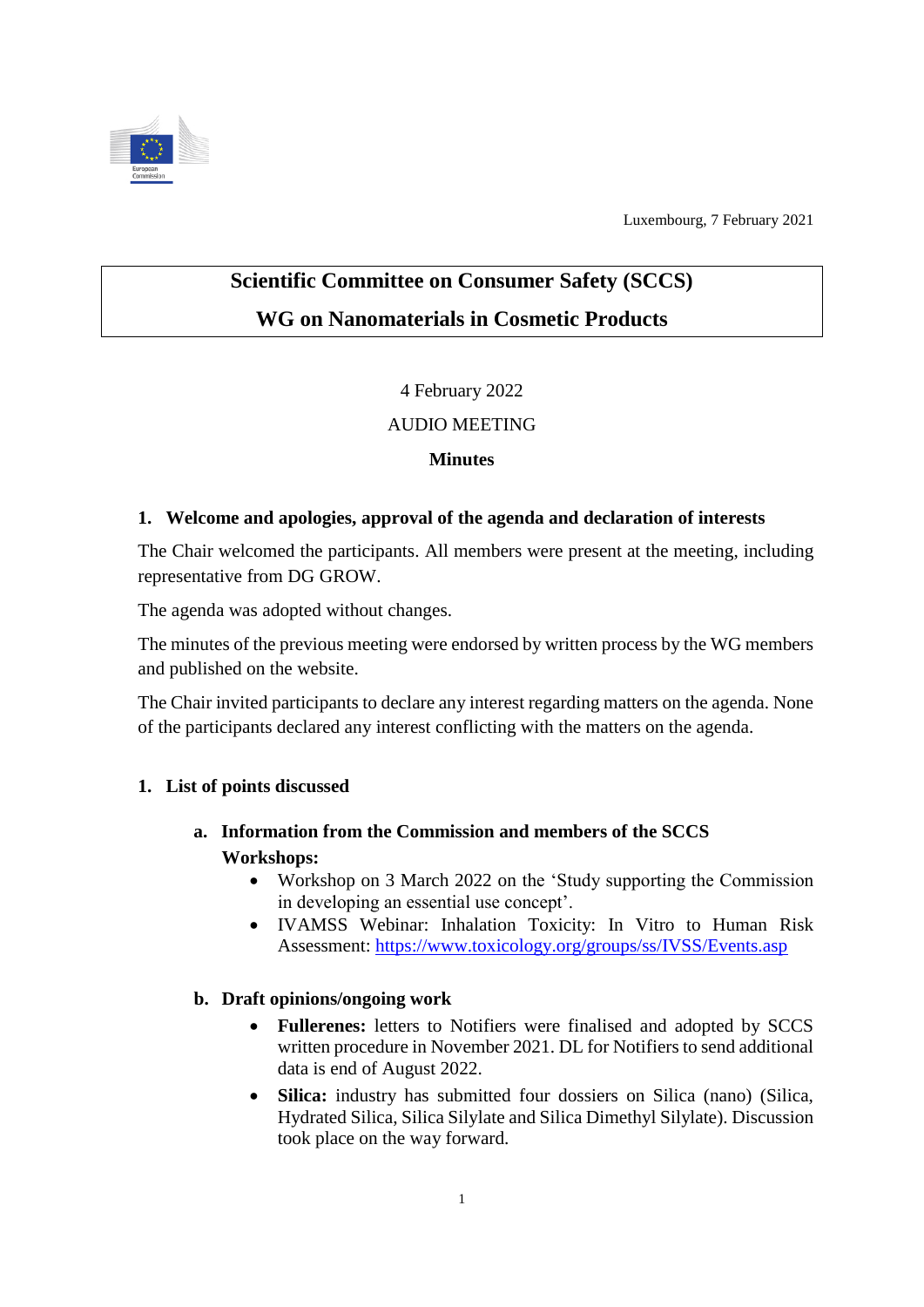

Luxembourg, 7 February 2021

# **Scientific Committee on Consumer Safety (SCCS) WG on Nanomaterials in Cosmetic Products**

4 February 2022

### AUDIO MEETING

#### **Minutes**

#### **1. Welcome and apologies, approval of the agenda and declaration of interests**

The Chair welcomed the participants. All members were present at the meeting, including representative from DG GROW.

The agenda was adopted without changes.

The minutes of the previous meeting were endorsed by written process by the WG members and published on the website.

The Chair invited participants to declare any interest regarding matters on the agenda. None of the participants declared any interest conflicting with the matters on the agenda.

### **1. List of points discussed**

## **a. Information from the Commission and members of the SCCS Workshops:**

- Workshop on 3 March 2022 on the 'Study supporting the Commission in developing an essential use concept'.
- IVAMSS Webinar: Inhalation Toxicity: In Vitro to Human Risk Assessment:<https://www.toxicology.org/groups/ss/IVSS/Events.asp>

### **b. Draft opinions/ongoing work**

- **Fullerenes:** letters to Notifiers were finalised and adopted by SCCS written procedure in November 2021. DL for Notifiers to send additional data is end of August 2022.
- **Silica:** industry has submitted four dossiers on Silica (nano) (Silica, Hydrated Silica, Silica Silylate and Silica Dimethyl Silylate). Discussion took place on the way forward.